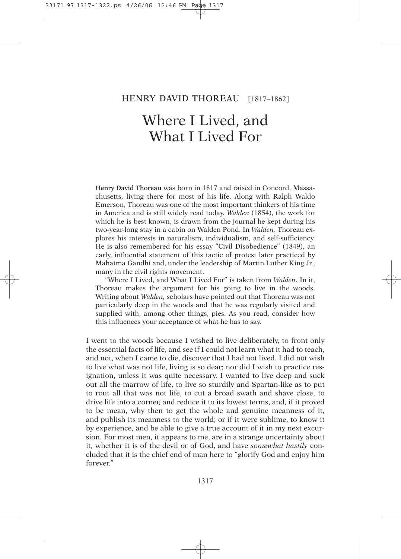## HENRY DAVID THOREAU [1817-1862]

## Where I Lived, and What I Lived For

**Henry David Thoreau** was born in 1817 and raised in Concord, Massachusetts, living there for most of his life. Along with Ralph Waldo Emerson, Thoreau was one of the most important thinkers of his time in America and is still widely read today. *Walden* (1854), the work for which he is best known, is drawn from the journal he kept during his two-year-long stay in a cabin on Walden Pond. In *Walden,* Thoreau explores his interests in naturalism, individualism, and self-sufficiency. He is also remembered for his essay "Civil Disobedience" (1849), an early, influential statement of this tactic of protest later practiced by Mahatma Gandhi and, under the leadership of Martin Luther King Jr., many in the civil rights movement.

"Where I Lived, and What I Lived For" is taken from *Walden.* In it, Thoreau makes the argument for his going to live in the woods. Writing about *Walden,* scholars have pointed out that Thoreau was not particularly deep in the woods and that he was regularly visited and supplied with, among other things, pies. As you read, consider how this influences your acceptance of what he has to say.

I went to the woods because I wished to live deliberately, to front only the essential facts of life, and see if I could not learn what it had to teach, and not, when I came to die, discover that I had not lived. I did not wish to live what was not life, living is so dear; nor did I wish to practice resignation, unless it was quite necessary. I wanted to live deep and suck out all the marrow of life, to live so sturdily and Spartan-like as to put to rout all that was not life, to cut a broad swath and shave close, to drive life into a corner, and reduce it to its lowest terms, and, if it proved to be mean, why then to get the whole and genuine meanness of it, and publish its meanness to the world; or if it were sublime, to know it by experience, and be able to give a true account of it in my next excursion. For most men, it appears to me, are in a strange uncertainty about it, whether it is of the devil or of God, and have *somewhat hastily* concluded that it is the chief end of man here to "glorify God and enjoy him forever."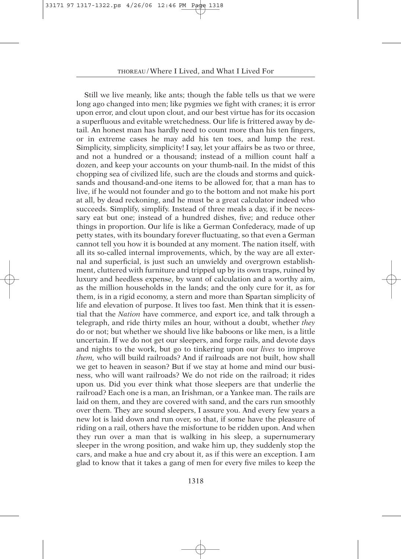Still we live meanly, like ants; though the fable tells us that we were long ago changed into men; like pygmies we fight with cranes; it is error upon error, and clout upon clout, and our best virtue has for its occasion a superfluous and evitable wretchedness. Our life is frittered away by detail. An honest man has hardly need to count more than his ten fingers, or in extreme cases he may add his ten toes, and lump the rest. Simplicity, simplicity, simplicity! I say, let your affairs be as two or three, and not a hundred or a thousand; instead of a million count half a dozen, and keep your accounts on your thumb-nail. In the midst of this chopping sea of civilized life, such are the clouds and storms and quicksands and thousand-and-one items to be allowed for, that a man has to live, if he would not founder and go to the bottom and not make his port at all, by dead reckoning, and he must be a great calculator indeed who succeeds. Simplify, simplify. Instead of three meals a day, if it be necessary eat but one; instead of a hundred dishes, five; and reduce other things in proportion. Our life is like a German Confederacy, made of up petty states, with its boundary forever fluctuating, so that even a German cannot tell you how it is bounded at any moment. The nation itself, with all its so-called internal improvements, which, by the way are all external and superficial, is just such an unwieldy and overgrown establishment, cluttered with furniture and tripped up by its own traps, ruined by luxury and heedless expense, by want of calculation and a worthy aim, as the million households in the lands; and the only cure for it, as for them, is in a rigid economy, a stern and more than Spartan simplicity of life and elevation of purpose. It lives too fast. Men think that it is essential that the *Nation* have commerce, and export ice, and talk through a telegraph, and ride thirty miles an hour, without a doubt, whether *they* do or not; but whether we should live like baboons or like men, is a little uncertain. If we do not get our sleepers, and forge rails, and devote days and nights to the work, but go to tinkering upon our *lives* to improve *them,* who will build railroads? And if railroads are not built, how shall we get to heaven in season? But if we stay at home and mind our business, who will want railroads? We do not ride on the railroad; it rides upon us. Did you ever think what those sleepers are that underlie the railroad? Each one is a man, an Irishman, or a Yankee man. The rails are laid on them, and they are covered with sand, and the cars run smoothly over them. They are sound sleepers, I assure you. And every few years a new lot is laid down and run over, so that, if some have the pleasure of riding on a rail, others have the misfortune to be ridden upon. And when they run over a man that is walking in his sleep, a supernumerary sleeper in the wrong position, and wake him up, they suddenly stop the cars, and make a hue and cry about it, as if this were an exception. I am glad to know that it takes a gang of men for every five miles to keep the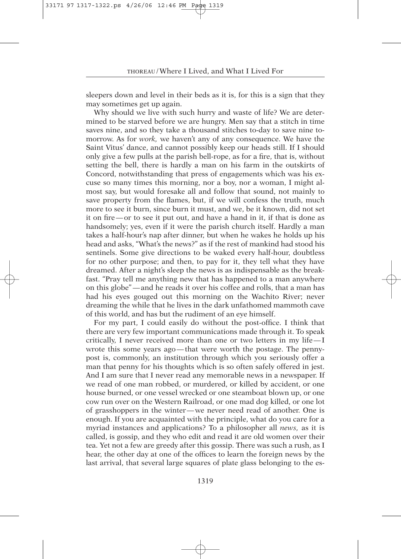sleepers down and level in their beds as it is, for this is a sign that they may sometimes get up again.

Why should we live with such hurry and waste of life? We are determined to be starved before we are hungry. Men say that a stitch in time saves nine, and so they take a thousand stitches to-day to save nine tomorrow. As for *work,* we haven't any of any consequence. We have the Saint Vitus' dance, and cannot possibly keep our heads still. If I should only give a few pulls at the parish bell-rope, as for a fire, that is, without setting the bell, there is hardly a man on his farm in the outskirts of Concord, notwithstanding that press of engagements which was his excuse so many times this morning, nor a boy, nor a woman, I might almost say, but would foresake all and follow that sound, not mainly to save property from the flames, but, if we will confess the truth, much more to see it burn, since burn it must, and we, be it known, did not set it on fire — or to see it put out, and have a hand in it, if that is done as handsomely; yes, even if it were the parish church itself. Hardly a man takes a half-hour's nap after dinner, but when he wakes he holds up his head and asks, "What's the news?" as if the rest of mankind had stood his sentinels. Some give directions to be waked every half-hour, doubtless for no other purpose; and then, to pay for it, they tell what they have dreamed. After a night's sleep the news is as indispensable as the breakfast. "Pray tell me anything new that has happened to a man anywhere on this globe" — and he reads it over his coffee and rolls, that a man has had his eyes gouged out this morning on the Wachito River; never dreaming the while that he lives in the dark unfathomed mammoth cave of this world, and has but the rudiment of an eye himself.

For my part, I could easily do without the post-office. I think that there are very few important communications made through it. To speak critically, I never received more than one or two letters in my life — I wrote this some years ago—that were worth the postage. The pennypost is, commonly, an institution through which you seriously offer a man that penny for his thoughts which is so often safely offered in jest. And I am sure that I never read any memorable news in a newspaper. If we read of one man robbed, or murdered, or killed by accident, or one house burned, or one vessel wrecked or one steamboat blown up, or one cow run over on the Western Railroad, or one mad dog killed, or one lot of grasshoppers in the winter — we never need read of another. One is enough. If you are acquainted with the principle, what do you care for a myriad instances and applications? To a philosopher all *news,* as it is called, is gossip, and they who edit and read it are old women over their tea. Yet not a few are greedy after this gossip. There was such a rush, as I hear, the other day at one of the offices to learn the foreign news by the last arrival, that several large squares of plate glass belonging to the es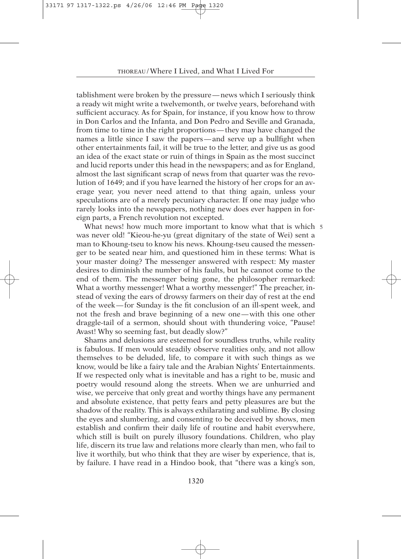tablishment were broken by the pressure — news which I seriously think a ready wit might write a twelvemonth, or twelve years, beforehand with sufficient accuracy. As for Spain, for instance, if you know how to throw in Don Carlos and the Infanta, and Don Pedro and Seville and Granada, from time to time in the right proportions — they may have changed the names a little since I saw the papers — and serve up a bullfight when other entertainments fail, it will be true to the letter, and give us as good an idea of the exact state or ruin of things in Spain as the most succinct and lucid reports under this head in the newspapers; and as for England, almost the last significant scrap of news from that quarter was the revolution of 1649; and if you have learned the history of her crops for an average year, you never need attend to that thing again, unless your speculations are of a merely pecuniary character. If one may judge who rarely looks into the newspapers, nothing new does ever happen in foreign parts, a French revolution not excepted.

What news! how much more important to know what that is which 5 was never old! "Kieou-he-yu (great dignitary of the state of Wei) sent a man to Khoung-tseu to know his news. Khoung-tseu caused the messenger to be seated near him, and questioned him in these terms: What is your master doing? The messenger answered with respect: My master desires to diminish the number of his faults, but he cannot come to the end of them. The messenger being gone, the philosopher remarked: What a worthy messenger! What a worthy messenger!" The preacher, instead of vexing the ears of drowsy farmers on their day of rest at the end of the week — for Sunday is the fit conclusion of an ill-spent week, and not the fresh and brave beginning of a new one — with this one other draggle-tail of a sermon, should shout with thundering voice, "Pause! Avast! Why so seeming fast, but deadly slow?"

Shams and delusions are esteemed for soundless truths, while reality is fabulous. If men would steadily observe realities only, and not allow themselves to be deluded, life, to compare it with such things as we know, would be like a fairy tale and the Arabian Nights' Entertainments. If we respected only what is inevitable and has a right to be, music and poetry would resound along the streets. When we are unhurried and wise, we perceive that only great and worthy things have any permanent and absolute existence, that petty fears and petty pleasures are but the shadow of the reality. This is always exhilarating and sublime. By closing the eyes and slumbering, and consenting to be deceived by shows, men establish and confirm their daily life of routine and habit everywhere, which still is built on purely illusory foundations. Children, who play life, discern its true law and relations more clearly than men, who fail to live it worthily, but who think that they are wiser by experience, that is, by failure. I have read in a Hindoo book, that "there was a king's son,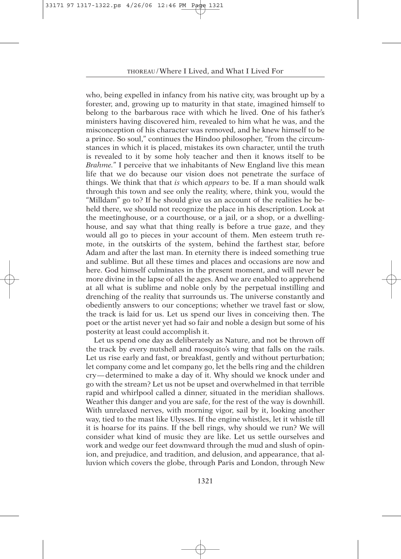who, being expelled in infancy from his native city, was brought up by a forester, and, growing up to maturity in that state, imagined himself to belong to the barbarous race with which he lived. One of his father's ministers having discovered him, revealed to him what he was, and the misconception of his character was removed, and he knew himself to be a prince. So soul," continues the Hindoo philosopher, "from the circumstances in which it is placed, mistakes its own character, until the truth is revealed to it by some holy teacher and then it knows itself to be *Brahme.*" I perceive that we inhabitants of New England live this mean life that we do because our vision does not penetrate the surface of things. We think that that *is* which *appears* to be. If a man should walk through this town and see only the reality, where, think you, would the "Milldam" go to? If he should give us an account of the realities he beheld there, we should not recognize the place in his description. Look at the meetinghouse, or a courthouse, or a jail, or a shop, or a dwellinghouse, and say what that thing really is before a true gaze, and they would all go to pieces in your account of them. Men esteem truth remote, in the outskirts of the system, behind the farthest star, before Adam and after the last man. In eternity there is indeed something true and sublime. But all these times and places and occasions are now and here. God himself culminates in the present moment, and will never be more divine in the lapse of all the ages. And we are enabled to apprehend at all what is sublime and noble only by the perpetual instilling and drenching of the reality that surrounds us. The universe constantly and obediently answers to our conceptions; whether we travel fast or slow, the track is laid for us. Let us spend our lives in conceiving then. The poet or the artist never yet had so fair and noble a design but some of his posterity at least could accomplish it.

Let us spend one day as deliberately as Nature, and not be thrown off the track by every nutshell and mosquito's wing that falls on the rails. Let us rise early and fast, or breakfast, gently and without perturbation; let company come and let company go, let the bells ring and the children cry— determined to make a day of it. Why should we knock under and go with the stream? Let us not be upset and overwhelmed in that terrible rapid and whirlpool called a dinner, situated in the meridian shallows. Weather this danger and you are safe, for the rest of the way is downhill. With unrelaxed nerves, with morning vigor, sail by it, looking another way, tied to the mast like Ulysses. If the engine whistles, let it whistle till it is hoarse for its pains. If the bell rings, why should we run? We will consider what kind of music they are like. Let us settle ourselves and work and wedge our feet downward through the mud and slush of opinion, and prejudice, and tradition, and delusion, and appearance, that alluvion which covers the globe, through Paris and London, through New